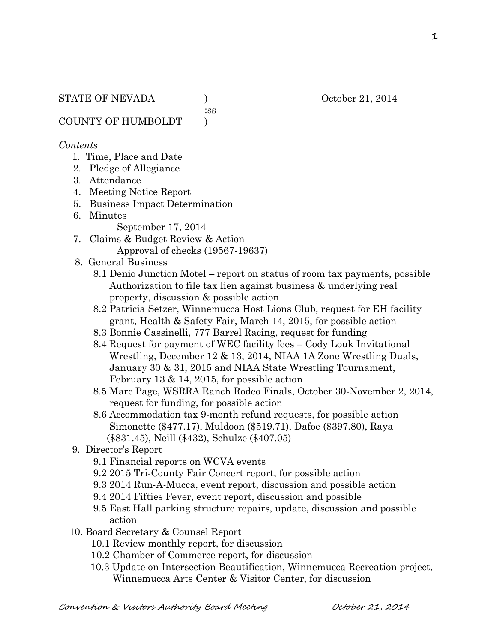COUNTY OF HUMBOLDT )

#### *Contents*

- 1. Time, Place and Date
- 2. Pledge of Allegiance
- 3. Attendance
- 4. Meeting Notice Report
- 5. Business Impact Determination
- 6. Minutes
	- September 17, 2014
- 7. Claims & Budget Review & Action Approval of checks (19567-19637)
- 8. General Business
	- 8.1 Denio Junction Motel report on status of room tax payments, possible Authorization to file tax lien against business & underlying real property, discussion & possible action
	- 8.2 Patricia Setzer, Winnemucca Host Lions Club, request for EH facility grant, Health & Safety Fair, March 14, 2015, for possible action
	- 8.3 Bonnie Cassinelli, 777 Barrel Racing, request for funding
	- 8.4 Request for payment of WEC facility fees Cody Louk Invitational Wrestling, December 12 & 13, 2014, NIAA 1A Zone Wrestling Duals, January 30 & 31, 2015 and NIAA State Wrestling Tournament, February 13 & 14, 2015, for possible action
	- 8.5 Marc Page, WSRRA Ranch Rodeo Finals, October 30-November 2, 2014, request for funding, for possible action
	- 8.6 Accommodation tax 9-month refund requests, for possible action Simonette (\$477.17), Muldoon (\$519.71), Dafoe (\$397.80), Raya (\$831.45), Neill (\$432), Schulze (\$407.05)
- 9. Director's Report
	- 9.1 Financial reports on WCVA events
	- 9.2 2015 Tri-County Fair Concert report, for possible action
	- 9.3 2014 Run-A-Mucca, event report, discussion and possible action
	- 9.4 2014 Fifties Fever, event report, discussion and possible
	- 9.5 East Hall parking structure repairs, update, discussion and possible action
- 10. Board Secretary & Counsel Report
	- 10.1 Review monthly report, for discussion
	- 10.2 Chamber of Commerce report, for discussion
	- 10.3 Update on Intersection Beautification, Winnemucca Recreation project, Winnemucca Arts Center & Visitor Center, for discussion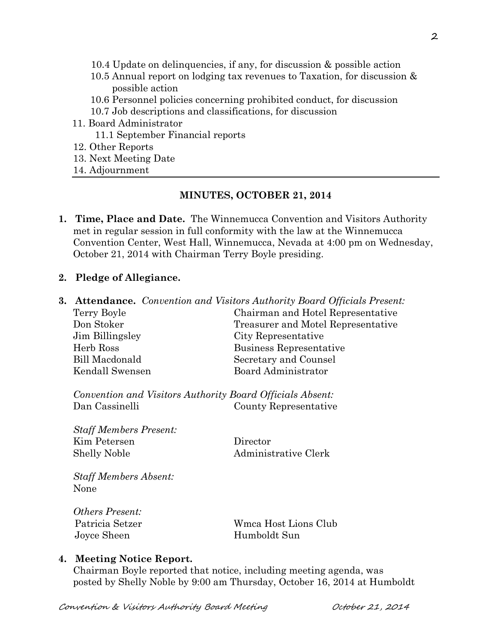- 10.4 Update on delinquencies, if any, for discussion & possible action
- 10.5 Annual report on lodging tax revenues to Taxation, for discussion & possible action
- 10.6 Personnel policies concerning prohibited conduct, for discussion
- 10.7 Job descriptions and classifications, for discussion
- 11. Board Administrator
	- 11.1 September Financial reports
- 12. Other Reports
- 13. Next Meeting Date
- 14. Adjournment

## **MINUTES, OCTOBER 21, 2014**

**1. Time, Place and Date.** The Winnemucca Convention and Visitors Authority met in regular session in full conformity with the law at the Winnemucca Convention Center, West Hall, Winnemucca, Nevada at 4:00 pm on Wednesday, October 21, 2014 with Chairman Terry Boyle presiding.

#### **2. Pledge of Allegiance.**

|                       | <b>3. Attendance.</b> Convention and Visitors Authority Board Officials Present: |
|-----------------------|----------------------------------------------------------------------------------|
| Terry Boyle           | Chairman and Hotel Representative                                                |
| Don Stoker            | Treasurer and Motel Representative                                               |
| Jim Billingsley       | City Representative                                                              |
| Herb Ross             | Business Representative                                                          |
| <b>Bill Macdonald</b> | Secretary and Counsel                                                            |
| Kendall Swensen       | Board Administrator                                                              |

*Convention and Visitors Authority Board Officials Absent:* Dan Cassinelli County Representative

*Staff Members Present:* Kim Petersen Director Shelly Noble Administrative Clerk

*Staff Members Absent:* None

*Others Present:* Joyce Sheen Humboldt Sun

Patricia Setzer Wmca Host Lions Club

## **4. Meeting Notice Report.**

Chairman Boyle reported that notice, including meeting agenda, was posted by Shelly Noble by 9:00 am Thursday, October 16, 2014 at Humboldt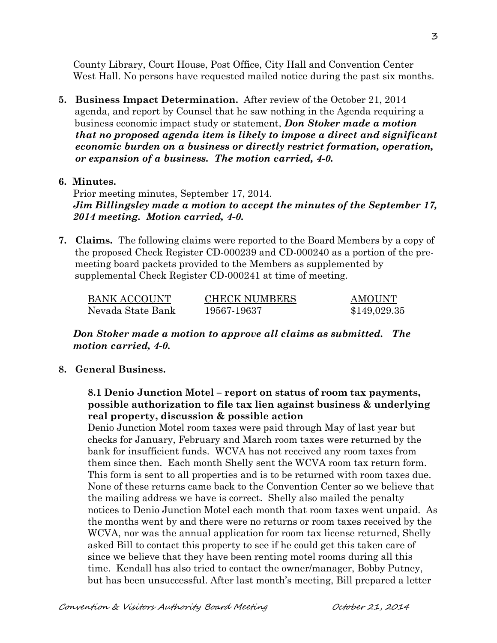County Library, Court House, Post Office, City Hall and Convention Center West Hall. No persons have requested mailed notice during the past six months.

**5. Business Impact Determination.** After review of the October 21, 2014 agenda, and report by Counsel that he saw nothing in the Agenda requiring a business economic impact study or statement, *Don Stoker made a motion that no proposed agenda item is likely to impose a direct and significant economic burden on a business or directly restrict formation, operation, or expansion of a business. The motion carried, 4-0.* 

#### **6. Minutes.**

Prior meeting minutes, September 17, 2014. *Jim Billingsley made a motion to accept the minutes of the September 17, 2014 meeting. Motion carried, 4-0.* 

**7. Claims.** The following claims were reported to the Board Members by a copy of the proposed Check Register CD-000239 and CD-000240 as a portion of the pre meeting board packets provided to the Members as supplemented by supplemental Check Register CD-000241 at time of meeting.

| <b>BANK ACCOUNT</b> | <b>CHECK NUMBERS</b> | <b>AMOUNT</b> |
|---------------------|----------------------|---------------|
| Nevada State Bank   | 19567-19637          | \$149,029.35  |

*Don Stoker made a motion to approve all claims as submitted. The motion carried, 4-0.*

#### **8. General Business.**

## **8.1 Denio Junction Motel – report on status of room tax payments, possible authorization to file tax lien against business & underlying real property, discussion & possible action**

Denio Junction Motel room taxes were paid through May of last year but checks for January, February and March room taxes were returned by the bank for insufficient funds. WCVA has not received any room taxes from them since then. Each month Shelly sent the WCVA room tax return form. This form is sent to all properties and is to be returned with room taxes due. None of these returns came back to the Convention Center so we believe that the mailing address we have is correct. Shelly also mailed the penalty notices to Denio Junction Motel each month that room taxes went unpaid. As the months went by and there were no returns or room taxes received by the WCVA, nor was the annual application for room tax license returned, Shelly asked Bill to contact this property to see if he could get this taken care of since we believe that they have been renting motel rooms during all this time. Kendall has also tried to contact the owner/manager, Bobby Putney, but has been unsuccessful. After last month's meeting, Bill prepared a letter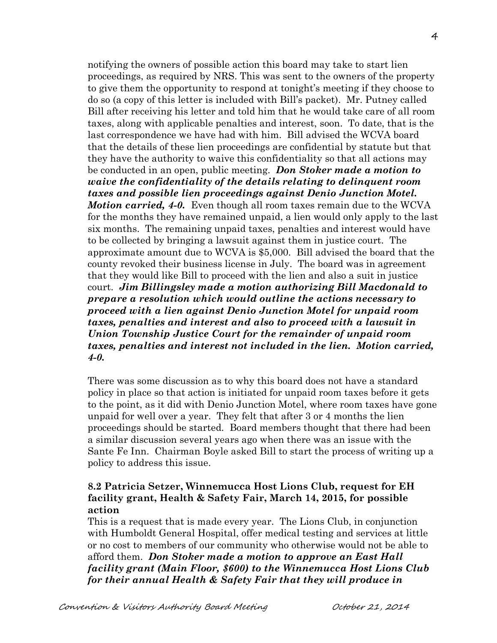notifying the owners of possible action this board may take to start lien proceedings, as required by NRS. This was sent to the owners of the property to give them the opportunity to respond at tonight's meeting if they choose to do so (a copy of this letter is included with Bill's packet). Mr. Putney called Bill after receiving his letter and told him that he would take care of all room taxes, along with applicable penalties and interest, soon. To date, that is the last correspondence we have had with him. Bill advised the WCVA board that the details of these lien proceedings are confidential by statute but that they have the authority to waive this confidentiality so that all actions may be conducted in an open, public meeting. *Don Stoker made a motion to waive the confidentiality of the details relating to delinquent room taxes and possible lien proceedings against Denio Junction Motel. Motion carried, 4-0.* Even though all room taxes remain due to the WCVA for the months they have remained unpaid, a lien would only apply to the last six months. The remaining unpaid taxes, penalties and interest would have to be collected by bringing a lawsuit against them in justice court. The approximate amount due to WCVA is \$5,000. Bill advised the board that the county revoked their business license in July. The board was in agreement that they would like Bill to proceed with the lien and also a suit in justice court. *Jim Billingsley made a motion authorizing Bill Macdonald to prepare a resolution which would outline the actions necessary to proceed with a lien against Denio Junction Motel for unpaid room taxes, penalties and interest and also to proceed with a lawsuit in Union Township Justice Court for the remainder of unpaid room taxes, penalties and interest not included in the lien. Motion carried, 4-0.*

There was some discussion as to why this board does not have a standard policy in place so that action is initiated for unpaid room taxes before it gets to the point, as it did with Denio Junction Motel, where room taxes have gone unpaid for well over a year. They felt that after 3 or 4 months the lien proceedings should be started. Board members thought that there had been a similar discussion several years ago when there was an issue with the Sante Fe Inn. Chairman Boyle asked Bill to start the process of writing up a policy to address this issue.

# **8.2 Patricia Setzer, Winnemucca Host Lions Club, request for EH facility grant, Health & Safety Fair, March 14, 2015, for possible action**

This is a request that is made every year. The Lions Club, in conjunction with Humboldt General Hospital, offer medical testing and services at little or no cost to members of our community who otherwise would not be able to afford them. *Don Stoker made a motion to approve an East Hall facility grant (Main Floor, \$600) to the Winnemucca Host Lions Club for their annual Health & Safety Fair that they will produce in*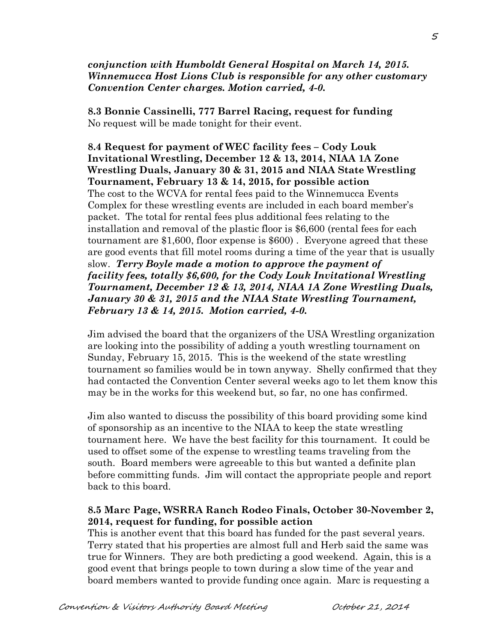#### *conjunction with Humboldt General Hospital on March 14, 2015. Winnemucca Host Lions Club is responsible for any other customary Convention Center charges. Motion carried, 4-0.*

**8.3 Bonnie Cassinelli, 777 Barrel Racing, request for funding** No request will be made tonight for their event.

**8.4 Request for payment of WEC facility fees – Cody Louk Invitational Wrestling, December 12 & 13, 2014, NIAA 1A Zone Wrestling Duals, January 30 & 31, 2015 and NIAA State Wrestling Tournament, February 13 & 14, 2015, for possible action** The cost to the WCVA for rental fees paid to the Winnemucca Events Complex for these wrestling events are included in each board member's packet. The total for rental fees plus additional fees relating to the installation and removal of the plastic floor is \$6,600 (rental fees for each tournament are \$1,600, floor expense is \$600) . Everyone agreed that these are good events that fill motel rooms during a time of the year that is usually slow. *Terry Boyle made a motion to approve the payment of facility fees, totally \$6,600, for the Cody Louk Invitational Wrestling Tournament, December 12 & 13, 2014, NIAA 1A Zone Wrestling Duals, January 30 & 31, 2015 and the NIAA State Wrestling Tournament, February 13 & 14, 2015. Motion carried, 4-0.* 

Jim advised the board that the organizers of the USA Wrestling organization are looking into the possibility of adding a youth wrestling tournament on Sunday, February 15, 2015. This is the weekend of the state wrestling tournament so families would be in town anyway. Shelly confirmed that they had contacted the Convention Center several weeks ago to let them know this may be in the works for this weekend but, so far, no one has confirmed.

Jim also wanted to discuss the possibility of this board providing some kind of sponsorship as an incentive to the NIAA to keep the state wrestling tournament here. We have the best facility for this tournament. It could be used to offset some of the expense to wrestling teams traveling from the south. Board members were agreeable to this but wanted a definite plan before committing funds. Jim will contact the appropriate people and report back to this board.

# **8.5 Marc Page, WSRRA Ranch Rodeo Finals, October 30-November 2, 2014, request for funding, for possible action**

This is another event that this board has funded for the past several years. Terry stated that his properties are almost full and Herb said the same was true for Winners. They are both predicting a good weekend. Again, this is a good event that brings people to town during a slow time of the year and board members wanted to provide funding once again. Marc is requesting a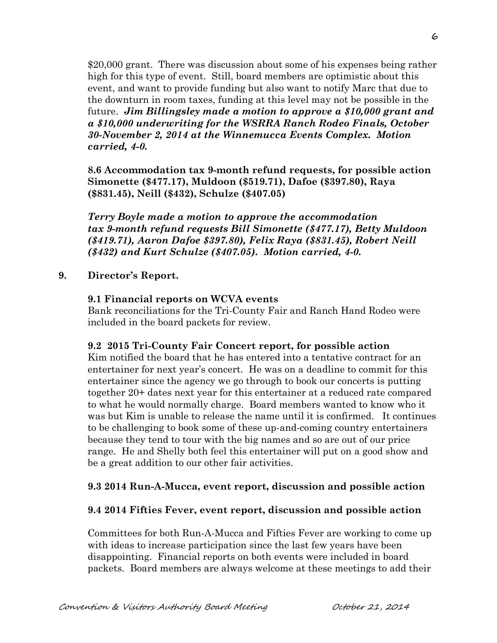\$20,000 grant. There was discussion about some of his expenses being rather high for this type of event. Still, board members are optimistic about this event, and want to provide funding but also want to notify Marc that due to the downturn in room taxes, funding at this level may not be possible in the future. *Jim Billingsley made a motion to approve a \$10,000 grant and a \$10,000 underwriting for the WSRRA Ranch Rodeo Finals, October 30-November 2, 2014 at the Winnemucca Events Complex. Motion carried, 4-0.*

**8.6 Accommodation tax 9-month refund requests, for possible action Simonette (\$477.17), Muldoon (\$519.71), Dafoe (\$397.80), Raya (\$831.45), Neill (\$432), Schulze (\$407.05)**

*Terry Boyle made a motion to approve the accommodation tax 9-month refund requests Bill Simonette (\$477.17), Betty Muldoon (\$419.71), Aaron Dafoe \$397.80), Felix Raya (\$831.45), Robert Neill (\$432) and Kurt Schulze (\$407.05). Motion carried, 4-0.*

## **9. Director's Report.**

#### **9.1 Financial reports on WCVA events**

Bank reconciliations for the Tri-County Fair and Ranch Hand Rodeo were included in the board packets for review.

#### **9.2 2015 Tri-County Fair Concert report, for possible action**

Kim notified the board that he has entered into a tentative contract for an entertainer for next year's concert. He was on a deadline to commit for this entertainer since the agency we go through to book our concerts is putting together 20+ dates next year for this entertainer at a reduced rate compared to what he would normally charge. Board members wanted to know who it was but Kim is unable to release the name until it is confirmed. It continues to be challenging to book some of these up-and-coming country entertainers because they tend to tour with the big names and so are out of our price range. He and Shelly both feel this entertainer will put on a good show and be a great addition to our other fair activities.

## **9.3 2014 Run-A-Mucca, event report, discussion and possible action**

## **9.4 2014 Fifties Fever, event report, discussion and possible action**

Committees for both Run-A-Mucca and Fifties Fever are working to come up with ideas to increase participation since the last few years have been disappointing. Financial reports on both events were included in board packets. Board members are always welcome at these meetings to add their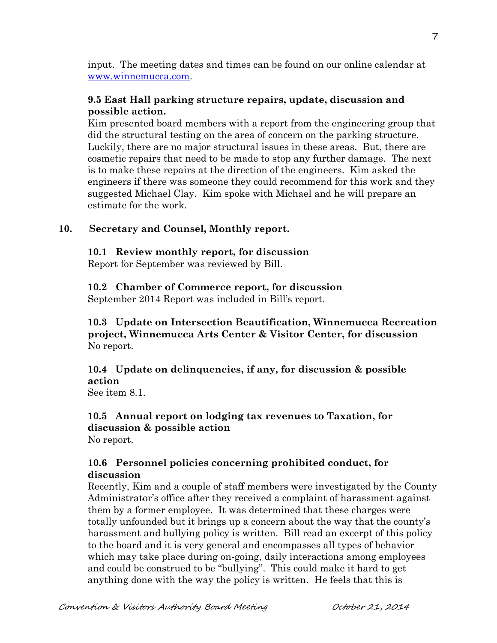input. The meeting dates and times can be found on our online calendar at [www.winnemucca.com.](http://www.winnemucca.com/)

# **9.5 East Hall parking structure repairs, update, discussion and possible action.**

Kim presented board members with a report from the engineering group that did the structural testing on the area of concern on the parking structure. Luckily, there are no major structural issues in these areas. But, there are cosmetic repairs that need to be made to stop any further damage. The next is to make these repairs at the direction of the engineers. Kim asked the engineers if there was someone they could recommend for this work and they suggested Michael Clay. Kim spoke with Michael and he will prepare an estimate for the work.

# **10. Secretary and Counsel, Monthly report.**

## **10.1 Review monthly report, for discussion**

Report for September was reviewed by Bill.

# **10.2 Chamber of Commerce report, for discussion**

September 2014 Report was included in Bill's report.

# **10.3 Update on Intersection Beautification, Winnemucca Recreation project, Winnemucca Arts Center & Visitor Center, for discussion**  No report.

**10.4 Update on delinquencies, if any, for discussion & possible action**

See item 8.1.

#### **10.5 Annual report on lodging tax revenues to Taxation, for discussion & possible action** No report.

# **10.6 Personnel policies concerning prohibited conduct, for discussion**

Recently, Kim and a couple of staff members were investigated by the County Administrator's office after they received a complaint of harassment against them by a former employee. It was determined that these charges were totally unfounded but it brings up a concern about the way that the county's harassment and bullying policy is written. Bill read an excerpt of this policy to the board and it is very general and encompasses all types of behavior which may take place during on-going, daily interactions among employees and could be construed to be "bullying". This could make it hard to get anything done with the way the policy is written. He feels that this is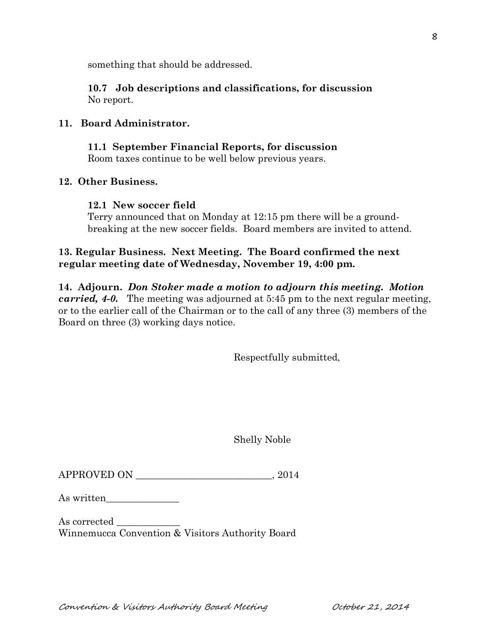something that should be addressed.

**10.7 Job descriptions and classifications, for discussion** No report.

## **11. Board Administrator.**

**11.1 September Financial Reports, for discussion** Room taxes continue to be well below previous years.

#### **12. Other Business.**

#### **12.1 New soccer field**

Terry announced that on Monday at 12:15 pm there will be a groundbreaking at the new soccer fields. Board members are invited to attend.

# **13. Regular Business. Next Meeting. The Board confirmed the next regular meeting date of Wednesday, November 19, 4:00 pm.**

**14. Adjourn.** *Don Stoker made a motion to adjourn this meeting. Motion carried, 4-0.* The meeting was adjourned at 5:45 pm to the next regular meeting, or to the earlier call of the Chairman or to the call of any three (3) members of the Board on three (3) working days notice.

Respectfully submitted,

Shelly Noble

APPROVED ON  $, 2014$ 

As written

As corrected Winnemucca Convention & Visitors Authority Board